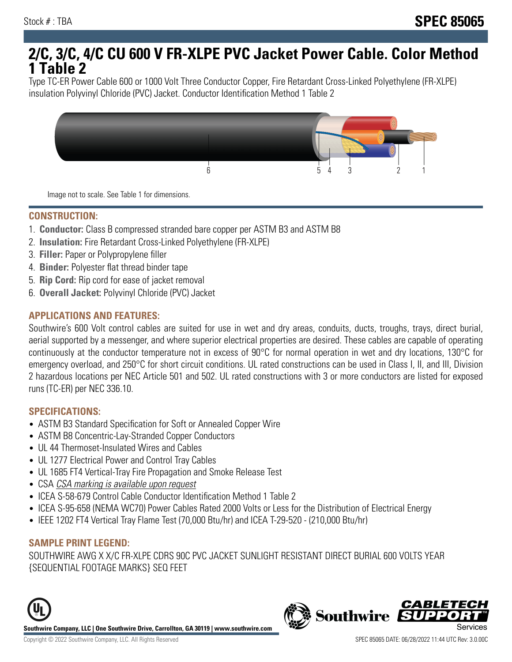# **2/C, 3/C, 4/C CU 600 V FR-XLPE PVC Jacket Power Cable. Color Method 1 Table 2**

Type TC-ER Power Cable 600 or 1000 Volt Three Conductor Copper, Fire Retardant Cross-Linked Polyethylene (FR-XLPE) insulation Polyvinyl Chloride (PVC) Jacket. Conductor Identification Method 1 Table 2



Image not to scale. See Table 1 for dimensions.

#### **CONSTRUCTION:**

- 1. **Conductor:** Class B compressed stranded bare copper per ASTM B3 and ASTM B8
- 2. **Insulation:** Fire Retardant Cross-Linked Polyethylene (FR-XLPE)
- 3. **Filler:** Paper or Polypropylene filler
- 4. **Binder:** Polyester flat thread binder tape
- 5. **Rip Cord:** Rip cord for ease of jacket removal
- 6. **Overall Jacket:** Polyvinyl Chloride (PVC) Jacket

## **APPLICATIONS AND FEATURES:**

Southwire's 600 Volt control cables are suited for use in wet and dry areas, conduits, ducts, troughs, trays, direct burial, aerial supported by a messenger, and where superior electrical properties are desired. These cables are capable of operating continuously at the conductor temperature not in excess of 90°C for normal operation in wet and dry locations, 130°C for emergency overload, and 250°C for short circuit conditions. UL rated constructions can be used in Class I, II, and III, Division 2 hazardous locations per NEC Article 501 and 502. UL rated constructions with 3 or more conductors are listed for exposed runs (TC-ER) per NEC 336.10.

#### **SPECIFICATIONS:**

- ASTM B3 Standard Specification for Soft or Annealed Copper Wire
- ASTM B8 Concentric-Lay-Stranded Copper Conductors
- UL 44 Thermoset-Insulated Wires and Cables
- UL 1277 Electrical Power and Control Tray Cables
- UL 1685 FT4 Vertical-Tray Fire Propagation and Smoke Release Test
- CSA CSA marking is available upon request
- ICEA S-58-679 Control Cable Conductor Identification Method 1 Table 2
- ICEA S-95-658 (NEMA WC70) Power Cables Rated 2000 Volts or Less for the Distribution of Electrical Energy
- IEEE 1202 FT4 Vertical Tray Flame Test (70,000 Btu/hr) and ICEA T-29-520 (210,000 Btu/hr)

#### **SAMPLE PRINT LEGEND:**

SOUTHWIRE AWG X X/C FR-XLPE CDRS 90C PVC JACKET SUNLIGHT RESISTANT DIRECT BURIAL 600 VOLTS YEAR {SEQUENTIAL FOOTAGE MARKS} SEQ FEET